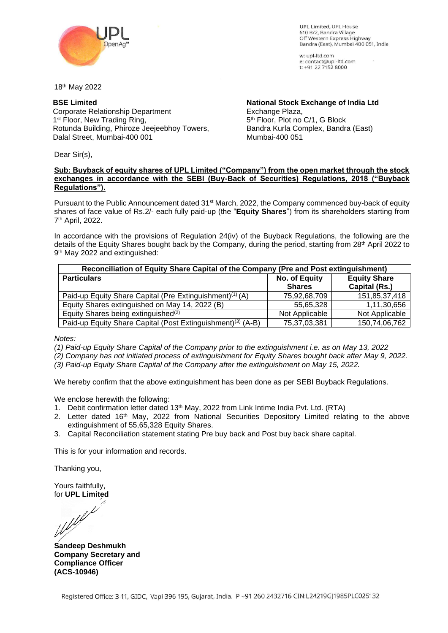

UPL Limited UPL House 610 B/2, Bandra Village Off Western Express Highway Bandra (East), Mumbai 400 051, India

w: upl-ltd.com e: contact@upl-ltd.com t: +91 22 7152 8000

18 th May 2022

## **BSE Limited**

Corporate Relationship Department 1<sup>st</sup> Floor, New Trading Ring, Rotunda Building, Phiroze Jeejeebhoy Towers, Dalal Street, Mumbai-400 001

**National Stock Exchange of India Ltd** Exchange Plaza, 5 th Floor, Plot no C/1, G Block Bandra Kurla Complex, Bandra (East) Mumbai-400 051

Dear Sir(s),

### **Sub: Buyback of equity shares of UPL Limited ("Company") from the open market through the stock exchanges in accordance with the SEBI (Buy-Back of Securities) Regulations, 2018 ("Buyback Regulations").**

Pursuant to the Public Announcement dated 31<sup>st</sup> March, 2022, the Company commenced buy-back of equity shares of face value of Rs.2/- each fully paid-up (the "**Equity Shares**") from its shareholders starting from 7 th April, 2022.

In accordance with the provisions of Regulation 24(iv) of the Buyback Regulations, the following are the details of the Equity Shares bought back by the Company, during the period, starting from 28th April 2022 to 9 th May 2022 and extinguished:

| Reconciliation of Equity Share Capital of the Company (Pre and Post extinguishment) |                                |                                      |  |
|-------------------------------------------------------------------------------------|--------------------------------|--------------------------------------|--|
| <b>Particulars</b>                                                                  | No. of Equity<br><b>Shares</b> | <b>Equity Share</b><br>Capital (Rs.) |  |
| Paid-up Equity Share Capital (Pre Extinguishment) <sup>(1)</sup> (A)                | 75,92,68,709                   | 151,85,37,418                        |  |
| Equity Shares extinguished on May 14, 2022 (B)                                      | 55,65,328                      | 1,11,30,656                          |  |
| Equity Shares being extinguished <sup>(2)</sup>                                     | Not Applicable                 | Not Applicable                       |  |
| Paid-up Equity Share Capital (Post Extinguishment) <sup>(3)</sup> (A-B)             | 75,37,03,381                   | 150,74,06,762                        |  |

*Notes:*

*(1) Paid-up Equity Share Capital of the Company prior to the extinguishment i.e. as on May 13, 2022*

*(2) Company has not initiated process of extinguishment for Equity Shares bought back after May 9, 2022.*

*(3) Paid-up Equity Share Capital of the Company after the extinguishment on May 15, 2022.*

We hereby confirm that the above extinguishment has been done as per SEBI Buyback Regulations.

We enclose herewith the following:

- 1. Debit confirmation letter dated 13<sup>th</sup> May, 2022 from Link Intime India Pvt. Ltd. (RTA)
- 2. Letter dated 16th May, 2022 from National Securities Depository Limited relating to the above extinguishment of 55,65,328 Equity Shares.
- 3. Capital Reconciliation statement stating Pre buy back and Post buy back share capital.

This is for your information and records.

Thanking you,

Yours faithfully,

for **UPL Limited**

**Sandeep Deshmukh Company Secretary and Compliance Officer (ACS-10946)**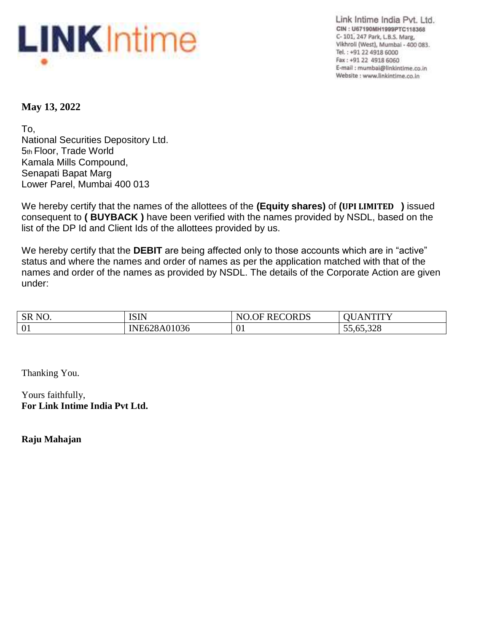

Link Intime India Pvt. Ltd. CIN: U67190MH1999PTC118368 C-101, 247 Park, L.B.S. Marg, Vikhroli (West), Mumbai - 400 083. Tel.: +91 22 4918 6000 Fax: +91 22 4918 6060 E-mail : mumbai@linkintime.co.in Website : www.linkintime.co.in

# **May 13, 2022**

To, National Securities Depository Ltd. 5th Floor, Trade World Kamala Mills Compound, Senapati Bapat Marg Lower Parel, Mumbai 400 013

We hereby certify that the names of the allottees of the **(Equity shares)** of **(UPI LIMITED )** issued consequent to **( BUYBACK )** have been verified with the names provided by NSDL, based on the list of the DP Id and Client Ids of the allottees provided by us.

We hereby certify that the **DEBIT** are being affected only to those accounts which are in "active" status and where the names and order of names as per the application matched with that of the names and order of the names as provided by NSDL. The details of the Corporate Action are given under:

| SR <sub>NO</sub> . | <b>ISIN</b>        | <b>RECORDS</b><br>NI | wrrw<br>$\Delta$                     |
|--------------------|--------------------|----------------------|--------------------------------------|
| 01                 | JE628A01036<br>INF | $\sim$<br>ັ∪⊥        | 65,900<br>--<br>ັບປີເປ <i>ີ</i> ,ປ∠ບ |

Thanking You.

Yours faithfully, **For Link Intime India Pvt Ltd.**

**Raju Mahajan**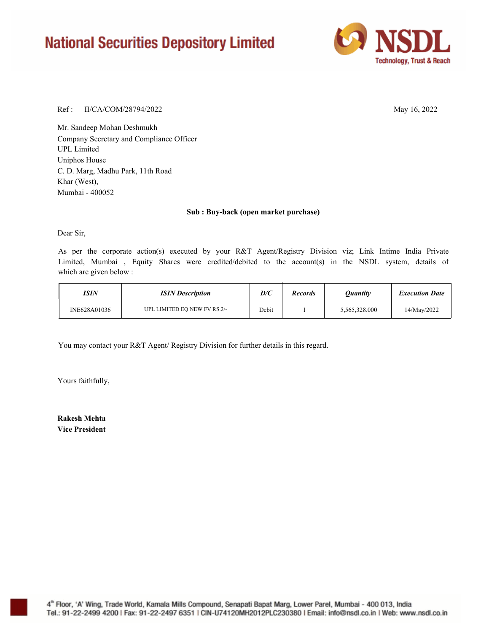# **National Securities Depository Limited**



### Ref : May 16, 2022 II/CA/COM/28794/2022

Mr. Sandeep Mohan Deshmukh Company Secretary and Compliance Officer Uniphos House C. D. Marg, Madhu Park, 11th Road Khar (West), UPL Limited Mumbai - 400052

#### **Sub : Buy-back (open market purchase)**

Dear Sir,

As per the corporate action(s) executed by your R&T Agent/Registry Division viz; Link Intime India Private Limited, Mumbai , Equity Shares were credited/debited to the account(s) in the NSDL system, details of which are given below :

| ISIN         | <b>ISIN</b> Description      | D/C   | <b>Records</b> | <i><b>Ouantity</b></i> | <b>Execution Date</b> |
|--------------|------------------------------|-------|----------------|------------------------|-----------------------|
| INE628A01036 | UPL LIMITED EQ NEW FV RS.2/- | Debit |                | 5,565,328.000          | 14/Mav/2022           |

You may contact your R&T Agent/ Registry Division for further details in this regard.

Yours faithfully,

**Rakesh Mehta Vice President**